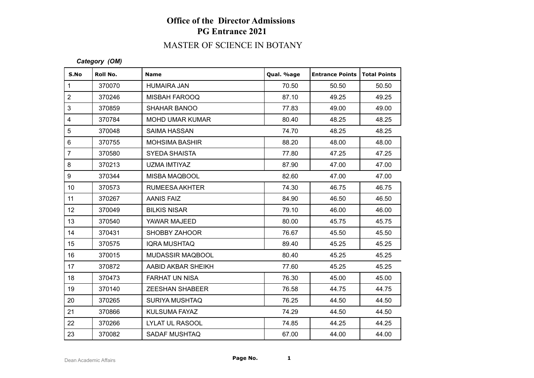# MASTER OF SCIENCE IN BOTANY

### *Category (OM)*

| S.No            | Roll No. | <b>Name</b>             | Qual. %age | <b>Entrance Points</b> | Total Points |
|-----------------|----------|-------------------------|------------|------------------------|--------------|
| $\mathbf 1$     | 370070   | <b>HUMAIRA JAN</b>      | 70.50      | 50.50                  | 50.50        |
| $\overline{2}$  | 370246   | <b>MISBAH FAROOQ</b>    | 87.10      | 49.25                  | 49.25        |
| $\mathfrak{S}$  | 370859   | <b>SHAHAR BANOO</b>     | 77.83      | 49.00                  | 49.00        |
| $\overline{4}$  | 370784   | <b>MOHD UMAR KUMAR</b>  | 80.40      | 48.25                  | 48.25        |
| $\sqrt{5}$      | 370048   | <b>SAIMA HASSAN</b>     | 74.70      | 48.25                  | 48.25        |
| $\,6\,$         | 370755   | <b>MOHSIMA BASHIR</b>   | 88.20      | 48.00                  | 48.00        |
| $\overline{7}$  | 370580   | <b>SYEDA SHAISTA</b>    | 77.80      | 47.25                  | 47.25        |
| 8               | 370213   | UZMA IMTIYAZ            | 87.90      | 47.00                  | 47.00        |
| 9               | 370344   | MISBA MAQBOOL           | 82.60      | 47.00                  | 47.00        |
| 10 <sup>°</sup> | 370573   | <b>RUMEESA AKHTER</b>   | 74.30      | 46.75                  | 46.75        |
| 11              | 370267   | <b>AANIS FAIZ</b>       | 84.90      | 46.50                  | 46.50        |
| 12              | 370049   | <b>BILKIS NISAR</b>     | 79.10      | 46.00                  | 46.00        |
| 13              | 370540   | YAWAR MAJEED            | 80.00      | 45.75                  | 45.75        |
| 14              | 370431   | <b>SHOBBY ZAHOOR</b>    | 76.67      | 45.50                  | 45.50        |
| 15              | 370575   | <b>IQRA MUSHTAQ</b>     | 89.40      | 45.25                  | 45.25        |
| 16              | 370015   | <b>MUDASSIR MAQBOOL</b> | 80.40      | 45.25                  | 45.25        |
| 17              | 370872   | AABID AKBAR SHEIKH      | 77.60      | 45.25                  | 45.25        |
| 18              | 370473   | <b>FARHAT UN NISA</b>   | 76.30      | 45.00                  | 45.00        |
| 19              | 370140   | <b>ZEESHAN SHABEER</b>  | 76.58      | 44.75                  | 44.75        |
| 20              | 370265   | <b>SURIYA MUSHTAQ</b>   | 76.25      | 44.50                  | 44.50        |
| 21              | 370866   | <b>KULSUMA FAYAZ</b>    | 74.29      | 44.50                  | 44.50        |
| 22              | 370266   | <b>LYLAT UL RASOOL</b>  | 74.85      | 44.25                  | 44.25        |
| 23              | 370082   | <b>SADAF MUSHTAQ</b>    | 67.00      | 44.00                  | 44.00        |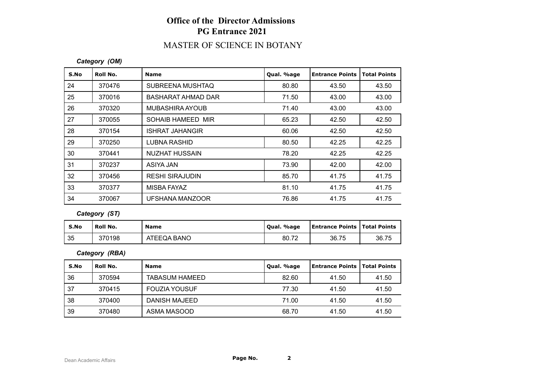### MASTER OF SCIENCE IN BOTANY

#### *Category (OM)*

| S.No | Roll No. | <b>Name</b>               | Qual. %age | <b>Entrance Points</b> | <b>Total Points</b> |
|------|----------|---------------------------|------------|------------------------|---------------------|
| 24   | 370476   | SUBREENA MUSHTAQ          | 80.80      | 43.50                  | 43.50               |
| 25   | 370016   | <b>BASHARAT AHMAD DAR</b> | 71.50      | 43.00                  | 43.00               |
| 26   | 370320   | MUBASHIRA AYOUB           | 71.40      | 43.00                  | 43.00               |
| 27   | 370055   | SOHAIB HAMEED MIR         | 65.23      | 42.50                  | 42.50               |
| 28   | 370154   | ISHRAT JAHANGIR           | 60.06      | 42.50                  | 42.50               |
| 29   | 370250   | LUBNA RASHID              | 80.50      | 42.25                  | 42.25               |
| 30   | 370441   | NUZHAT HUSSAIN            | 78.20      | 42.25                  | 42.25               |
| 31   | 370237   | ASIYA JAN                 | 73.90      | 42.00                  | 42.00               |
| 32   | 370456   | <b>RESHI SIRAJUDIN</b>    | 85.70      | 41.75                  | 41.75               |
| 33   | 370377   | MISBA FAYAZ               | 81.10      | 41.75                  | 41.75               |
| 34   | 370067   | UFSHANA MANZOOR           | 76.86      | 41.75                  | 41.75               |

### *Category (ST)*

| S.No | Roll No. | <b>Name</b> | Qual. %age | <b>Entrance Points   Total Points</b> |       |
|------|----------|-------------|------------|---------------------------------------|-------|
| 35   | 370198   | ATEEQA BANO | 80.72      | 36.75                                 | 36.75 |

#### *Category (RBA)*

| S.No | Roll No. | <b>Name</b>           | Qual. %age | <b>Entrance Points   Total Points</b> |       |
|------|----------|-----------------------|------------|---------------------------------------|-------|
| 36   | 370594   | <b>TABASUM HAMEED</b> | 82.60      | 41.50                                 | 41.50 |
| 37   | 370415   | <b>FOUZIA YOUSUF</b>  | 77.30      | 41.50                                 | 41.50 |
| 38   | 370400   | DANISH MAJEED         | 71.00      | 41.50                                 | 41.50 |
| 39   | 370480   | ASMA MASOOD           | 68.70      | 41.50                                 | 41.50 |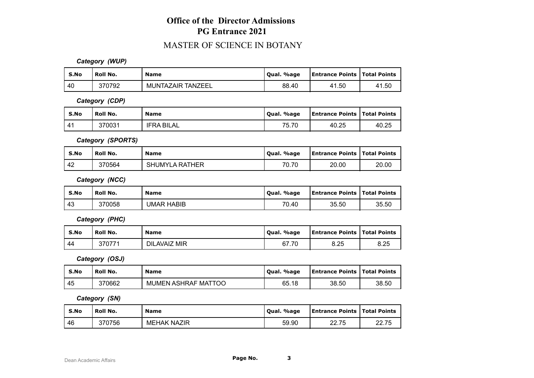### MASTER OF SCIENCE IN BOTANY

*Category (WUP)*

| S.No | ' Roll No. | <b>Name</b>       | Qual. %age | <b>Entrance Points   Total Points</b> |           |
|------|------------|-------------------|------------|---------------------------------------|-----------|
| l 40 | 370792     | MUNTAZAIR TANZEEL | 88.40      | 41.50                                 | .50<br>41 |

*Category (CDP)*

| S.No | Roll No. | <b>Name</b>       | Oual. %age            | <b>Entrance Points   Total Points</b> |       |
|------|----------|-------------------|-----------------------|---------------------------------------|-------|
| 41   | 370031   | <b>IFRA BILAL</b> | <b>75.70</b><br>7 I.G | 40.25                                 | 40.25 |

*Category (SPORTS)*

| S.No | <b>Roll No.</b> | <b>Name</b>           | %age<br>Oual. | Entrance Points   Total Points |       |
|------|-----------------|-----------------------|---------------|--------------------------------|-------|
| 42   | 370564          | <b>SHUMYLA RATHER</b> | 70.70         | 20.00                          | 20.00 |

*Category (NCC)*

| S.No | <b>Roll No.</b> | <b>Name</b>       | Qual. %age | <b>Entrance Points   Total Points</b> |       |
|------|-----------------|-------------------|------------|---------------------------------------|-------|
| 43   | 370058          | <b>UMAR HABIB</b> | 70.40      | 35.50                                 | 35.50 |

*Category (PHC)*

| S.No | <b>Roll No.</b> | <b>Name</b>  | Qual. %age | <b>Entrance Points   Total Points</b> |      |
|------|-----------------|--------------|------------|---------------------------------------|------|
| 44   | 370771          | DILAVAIZ MIR | 67.70      | 8.25                                  | 8.25 |

*Category (OSJ)*

| S.No | Roll No. | <b>Name</b>                | Qual. %age | <b>Entrance Points   Total Points</b> |       |
|------|----------|----------------------------|------------|---------------------------------------|-------|
| 45   | 370662   | <b>MUMEN ASHRAF MATTOO</b> | 65.18      | 38.50                                 | 38.50 |

*Category (SN)*

| S.No | Roll No. | <b>Name</b>        | Oual, %age | <b>Entrance Points   Total Points</b> |       |
|------|----------|--------------------|------------|---------------------------------------|-------|
| -46  | 370756   | <b>MEHAK NAZIR</b> | 59.90      | 22.75                                 | 22.75 |